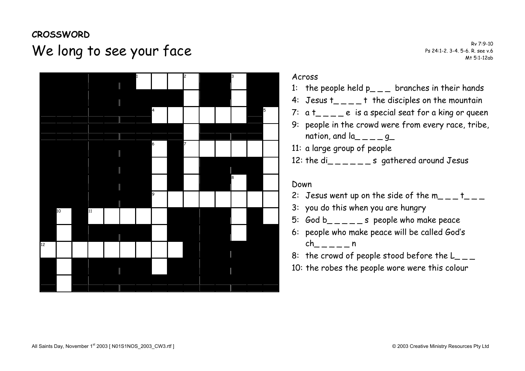## **CROSSWORD**  We long to see your face Research Research Ps 24:1-2. 3-4. 5-6. R. see v.6 RV 7:9-10



#### Across

- 1: the people held  $p_{\text{max}}$  branches in their hands
- 4: Jesus  $t_{\text{max}} t$  the disciples on the mountain
- 7:  $a t_{\text{max}} = e$  is a special seat for a king or queen
- 9: people in the crowd were from every race, tribe, nation, and  $a_{\text{max}} = -q$
- 11: a large group of people
- 12: the di\_\_\_\_\_\_s gathered around Jesus

#### Down

- 2: Jesus went up on the side of the  $m_{\text{max}}$  t
- 3: you do this when you are hungry
- 5: God  $b_{----}$ s people who make peace
- 6: people who make peace will be called Godís  $ch$  n
- 8: the crowd of people stood before the  $L_{\text{max}}$
- 10: the robes the people wore were this colour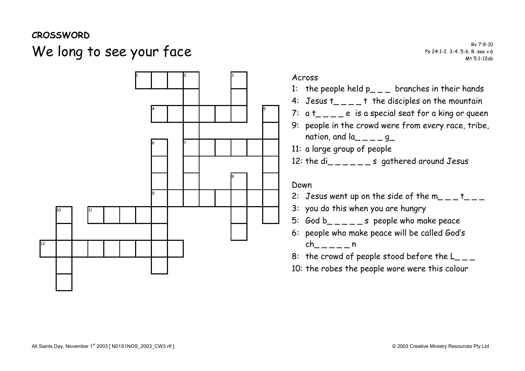### **CROSSWORD**

# We long to see your face Research Research Ps 24:1-2. 3-4. 5-6. R. see v.6 RV 7:9-10



#### Across

- 1: the people held  $p_{-}$  branches in their hands
- 4: Jesus  $t_{\text{max}}$  t the disciples on the mountain
- 7:  $a t_{\text{max}} = e$  is a special seat for a king or queen
- 9: people in the crowd were from every race, tribe, nation, and  $a_{---}$  q
- 11: a large group of people
- 12: the di\_\_\_\_\_\_s gathered around Jesus

#### Down

- 2: Jesus went up on the side of the  $m_{-}$   $+$   $+$   $-$
- 3: you do this when you are hungry
- 5: God b  $\epsilon$   $\epsilon$   $\epsilon$   $\epsilon$  =  $\epsilon$  people who make peace
- 6: people who make peace will be called Godís  $ch$  n
- 8: the crowd of people stood before the  $L_{-}$
- 10: the robes the people wore were this colour